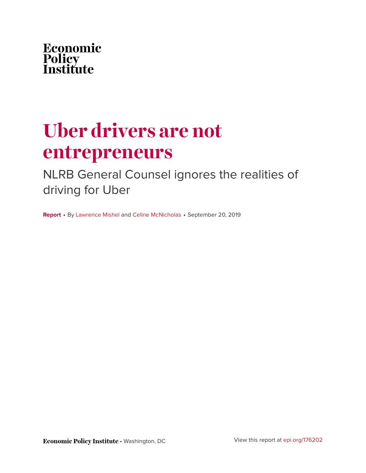

# **Uber drivers are not entrepreneurs**

### NLRB General Counsel ignores the realities of driving for Uber

**Report** • By [Lawrence Mishel](https://www.epi.org/people/lawrence-mishel/) and [Celine McNicholas](https://www.epi.org/people/celine-mcnicholas/) • September 20, 2019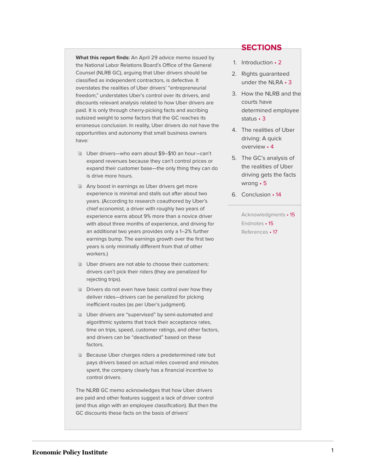**What this report finds:** An April 29 advice memo issued by the National Labor Relations Board's Office of the General Counsel (NLRB GC), arguing that Uber drivers should be classified as independent contractors, is defective. It overstates the realities of Uber drivers' "entrepreneurial freedom," understates Uber's control over its drivers, and discounts relevant analysis related to how Uber drivers are paid. It is only through cherry-picking facts and ascribing outsized weight to some factors that the GC reaches its erroneous conclusion. In reality, Uber drivers do not have the opportunities and autonomy that small business owners have:

- Uber drivers—who earn about \$9–\$10 an hour—can't expand revenues because they can't control prices or expand their customer base—the only thing they can do is drive more hours.
- Any boost in earnings as Uber drivers get more experience is minimal and stalls out after about two years. (According to research coauthored by Uber's chief economist, a driver with roughly two years of experience earns about 9% more than a novice driver with about three months of experience, and driving for an additional two years provides only a 1–2% further earnings bump. The earnings growth over the first two years is only minimally different from that of other workers.)
- Uber drivers are not able to choose their customers: drivers can't pick their riders (they are penalized for rejecting trips).
- **Drivers do not even have basic control over how they** deliver rides—drivers can be penalized for picking inefficient routes (as per Uber's judgment).
- Uber drivers are "supervised" by semi-automated and algorithmic systems that track their acceptance rates, time on trips, speed, customer ratings, and other factors, and drivers can be "deactivated" based on these factors.
- **Because Uber charges riders a predetermined rate but** pays drivers based on actual miles covered and minutes spent, the company clearly has a financial incentive to control drivers.

The NLRB GC memo acknowledges that how Uber drivers are paid and other features suggest a lack of driver control (and thus align with an employee classification). But then the GC discounts these facts on the basis of drivers'

#### **SECTIONS**

- 1. [Introduction](#page-2-0) 2
- 2. [Rights guaranteed](#page-3-0) [under the NLRA](#page-3-0) • 3
- 3 [How the NLRB and the](#page-3-1) [courts have](#page-3-1) [determined employee](#page-3-1) [status](#page-3-1) • 3
- 4. [The realities of Uber](#page-4-0) [driving: A quick](#page-4-0) [overview](#page-4-0) • 4
- 5. [The GC's analysis of](#page-5-0) [the realities of Uber](#page-5-0) [driving gets the facts](#page-5-0) [wrong](#page-5-0) • 5
- 6. [Conclusion](#page-14-0) 14

[Acknowledgments](#page-15-0) • 15 [Endnotes](#page-15-1) • 15 [References](#page-17-0) • 17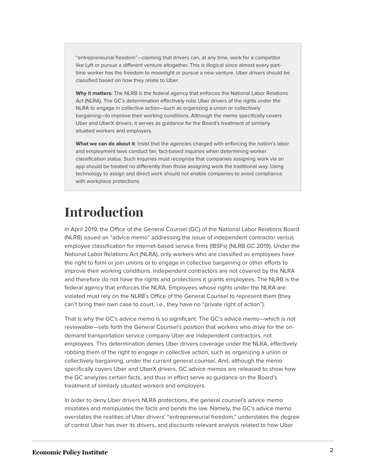"entrepreneurial freedom"—claiming that drivers can, at any time, work for a competitor like Lyft or pursue a different venture altogether. This is illogical since almost every parttime worker has the freedom to moonlight or pursue a new venture. Uber drivers should be classified based on how they relate to Uber.

**Why it matters:** The NLRB is the federal agency that enforces the National Labor Relations Act (NLRA). The GC's determination effectively robs Uber drivers of the rights under the NLRA to engage in collective action—such as organizing a union or collectively bargaining—to improve their working conditions. Although the memo specifically covers Uber and UberX drivers, it serves as guidance for the Board's treatment of similarly situated workers and employers.

What we can do about it: Insist that the agencies charged with enforcing the nation's labor and employment laws conduct fair, fact-based inquiries when determining worker classification status. Such inquiries must recognize that companies assigning work via an app should be treated no differently than those assigning work the traditional way. Using technology to assign and direct work should not enable companies to avoid compliance with workplace protections.

### <span id="page-2-0"></span>**Introduction**

In April 2019, the Office of the General Counsel (GC) of the National Labor Relations Board (NLRB) issued an "advice memo" addressing the issue of independent contractor versus employee classification for internet-based service firms (IBSFs) (NLRB GC 2019). Under the National Labor Relations Act (NLRA), only workers who are classified as employees have the right to form or join unions or to engage in collective bargaining or other efforts to improve their working conditions. Independent contractors are not covered by the NLRA and therefore do not have the rights and protections it grants employees. The NLRB is the federal agency that enforces the NLRA. Employees whose rights under the NLRA are violated must rely on the NLRB's Office of the General Counsel to represent them (they can't bring their own case to court, i.e., they have no "private right of action").

That is why the GC's advice memo is so significant. The GC's advice memo—which is not reviewable—sets forth the General Counsel's position that workers who drive for the ondemand transportation service company Uber are independent contractors, not employees. This determination denies Uber drivers coverage under the NLRA, effectively robbing them of the right to engage in collective action, such as organizing a union or collectively bargaining, under the current general counsel. And, although the memo specifically covers Uber and UberX drivers, GC advice memos are released to show how the GC analyzes certain facts, and thus in effect serve as guidance on the Board's treatment of similarly situated workers and employers.

In order to deny Uber drivers NLRA protections, the general counsel's advice memo misstates and manipulates the facts and bends the law. Namely, the GC's advice memo overstates the realities of Uber drivers' "entrepreneurial freedom," understates the degree of control Uber has over its drivers, and discounts relevant analysis related to how Uber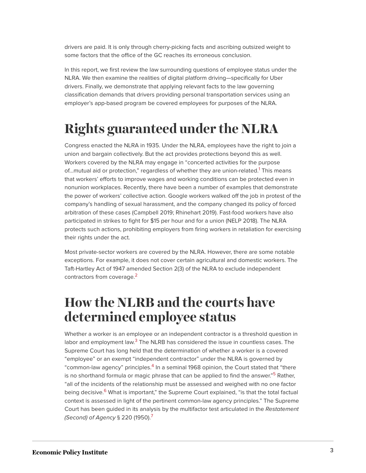drivers are paid. It is only through cherry-picking facts and ascribing outsized weight to some factors that the office of the GC reaches its erroneous conclusion.

In this report, we first review the law surrounding questions of employee status under the NLRA. We then examine the realities of digital platform driving—specifically for Uber drivers. Finally, we demonstrate that applying relevant facts to the law governing classification demands that drivers providing personal transportation services using an employer's app-based program be covered employees for purposes of the NLRA.

# <span id="page-3-0"></span>**Rights guaranteed under the NLRA**

<span id="page-3-2"></span>Congress enacted the NLRA in 1935. Under the NLRA, employees have the right to join a union and bargain collectively. But the act provides protections beyond this as well. Workers covered by the NLRA may engage in "concerted activities for the purpose of...mutual aid or protection," regardless of whether they are union-related.<sup>[1](#page-15-2)</sup> This means that workers' efforts to improve wages and working conditions can be protected even in nonunion workplaces. Recently, there have been a number of examples that demonstrate the power of workers' collective action. Google workers walked off the job in protest of the company's handling of sexual harassment, and the company changed its policy of forced arbitration of these cases (Campbell 2019; Rhinehart 2019). Fast-food workers have also participated in strikes to fight for \$15 per hour and for a union (NELP 2018). The NLRA protects such actions, prohibiting employers from firing workers in retaliation for exercising their rights under the act.

Most private-sector workers are covered by the NLRA. However, there are some notable exceptions. For example, it does not cover certain agricultural and domestic workers. The Taft-Hartley Act of 1947 amended Section 2(3) of the NLRA to exclude independent contractors from coverage.<sup>[2](#page-15-3)</sup>

### <span id="page-3-3"></span><span id="page-3-1"></span>**How the NLRB and the courts have determined employee status**

<span id="page-3-8"></span><span id="page-3-7"></span><span id="page-3-6"></span><span id="page-3-5"></span><span id="page-3-4"></span>Whether a worker is an employee or an independent contractor is a threshold question in labor and employment law. $^3$  $^3$  The NLRB has considered the issue in countless cases. The Supreme Court has long held that the determination of whether a worker is a covered "employee" or an exempt "independent contractor" under the NLRA is governed by "common-law agency" principles. $^{\text{4}}$  $^{\text{4}}$  $^{\text{4}}$  In a seminal 1968 opinion, the Court stated that "there is no shorthand formula or magic phrase that can be applied to find the answer."<sup>[5](#page-15-6)</sup> Rather, "all of the incidents of the relationship must be assessed and weighed with no one factor being decisive.<sup>[6](#page-15-7)</sup> What is important," the Supreme Court explained, "is that the total factual context is assessed in light of the pertinent common-law agency principles." The Supreme Court has been quided in its analysis by the multifactor test articulated in the Restatement (Second) of Agency § 220 (1950).<sup>[7](#page-15-8)</sup>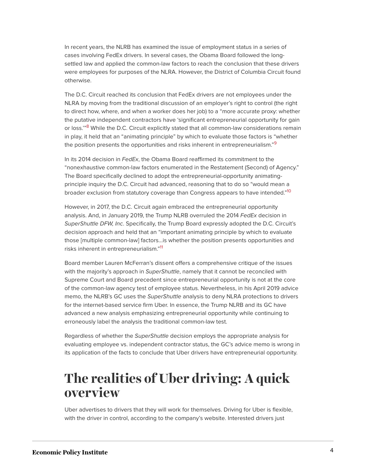In recent years, the NLRB has examined the issue of employment status in a series of cases involving FedEx drivers. In several cases, the Obama Board followed the longsettled law and applied the common-law factors to reach the conclusion that these drivers were employees for purposes of the NLRA. However, the District of Columbia Circuit found otherwise.

<span id="page-4-1"></span>The D.C. Circuit reached its conclusion that FedEx drivers are not employees under the NLRA by moving from the traditional discussion of an employer's right to control (the right to direct how, where, and when a worker does her job) to a "more accurate proxy: whether the putative independent contractors have 'significant entrepreneurial opportunity for gain or loss."<sup>[8](#page-15-9)</sup> While the D.C. Circuit explicitly stated that all common-law considerations remain in play, it held that an "animating principle" by which to evaluate those factors is "whether the position presents the opportunities and risks inherent in entrepreneurialism."<sup>[9](#page-15-10)</sup>

<span id="page-4-2"></span>In its 2014 decision in  $FedEx$ , the Obama Board reaffirmed its commitment to the "nonexhaustive common-law factors enumerated in the Restatement (Second) of Agency." The Board specifically declined to adopt the entrepreneurial-opportunity animatingprinciple inquiry the D.C. Circuit had advanced, reasoning that to do so "would mean a broader exclusion from statutory coverage than Congress appears to have intended."<sup>[10](#page-15-11)</sup>

<span id="page-4-3"></span>However, in 2017, the D.C. Circuit again embraced the entrepreneurial opportunity analysis. And, in January 2019, the Trump NLRB overruled the 2014 FedEx decision in SuperShuttle DFW, Inc. Specifically, the Trump Board expressly adopted the D.C. Circuit's decision approach and held that an "important animating principle by which to evaluate those [multiple common-law] factors…is whether the position presents opportunities and risks inherent in entrepreneurialism." [11](#page-16-0)

<span id="page-4-4"></span>Board member Lauren McFerran's dissent offers a comprehensive critique of the issues with the majority's approach in SuperShuttle, namely that it cannot be reconciled with Supreme Court and Board precedent since entrepreneurial opportunity is not at the core of the common-law agency test of employee status. Nevertheless, in his April 2019 advice memo, the NLRB's GC uses the SuperShuttle analysis to deny NLRA protections to drivers for the internet-based service firm Uber. In essence, the Trump NLRB and its GC have advanced a new analysis emphasizing entrepreneurial opportunity while continuing to erroneously label the analysis the traditional common-law test.

Regardless of whether the SuperShuttle decision employs the appropriate analysis for evaluating employee vs. independent contractor status, the GC's advice memo is wrong in its application of the facts to conclude that Uber drivers have entrepreneurial opportunity.

### <span id="page-4-0"></span>**The realities of Uber driving: A quick overview**

Uber advertises to drivers that they will work for themselves. Driving for Uber is flexible, with the driver in control, according to the company's website. Interested drivers just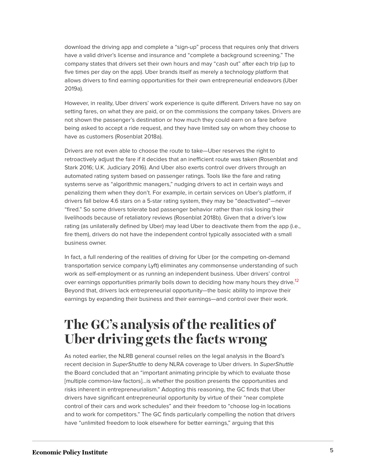download the driving app and complete a "sign-up" process that requires only that drivers have a valid driver's license and insurance and "complete a background screening." The company states that drivers set their own hours and may "cash out" after each trip (up to five times per day on the app). Uber brands itself as merely a technology platform that allows drivers to find earning opportunities for their own entrepreneurial endeavors (Uber 2019a).

However, in reality, Uber drivers' work experience is quite different. Drivers have no say on setting fares, on what they are paid, or on the commissions the company takes. Drivers are not shown the passenger's destination or how much they could earn on a fare before being asked to accept a ride request, and they have limited say on whom they choose to have as customers (Rosenblat 2018a).

Drivers are not even able to choose the route to take—Uber reserves the right to retroactively adjust the fare if it decides that an inefficient route was taken (Rosenblat and Stark 2016; U.K. Judiciary 2016). And Uber also exerts control over drivers through an automated rating system based on passenger ratings. Tools like the fare and rating systems serve as "algorithmic managers," nudging drivers to act in certain ways and penalizing them when they don't. For example, in certain services on Uber's platform, if drivers fall below 4.6 stars on a 5-star rating system, they may be "deactivated"—never "fired." So some drivers tolerate bad passenger behavior rather than risk losing their livelihoods because of retaliatory reviews (Rosenblat 2018b). Given that a driver's low rating (as unilaterally defined by Uber) may lead Uber to deactivate them from the app (i.e., fire them), drivers do not have the independent control typically associated with a small business owner.

<span id="page-5-1"></span>In fact, a full rendering of the realities of driving for Uber (or the competing on-demand transportation service company Lyft) eliminates any commonsense understanding of such work as self-employment or as running an independent business. Uber drivers' control over earnings opportunities primarily boils down to deciding how many hours they drive.<sup>[12](#page-16-1)</sup> Beyond that, drivers lack entrepreneurial opportunity—the basic ability to improve their earnings by expanding their business and their earnings—and control over their work.

### <span id="page-5-0"></span>**The GC's analysis of the realities of Uber driving gets the facts wrong**

As noted earlier, the NLRB general counsel relies on the legal analysis in the Board's recent decision in SuperShuttle to deny NLRA coverage to Uber drivers. In SuperShuttle the Board concluded that an "important animating principle by which to evaluate those [multiple common-law factors]…is whether the position presents the opportunities and risks inherent in entrepreneurialism." Adopting this reasoning, the GC finds that Uber drivers have significant entrepreneurial opportunity by virtue of their "near complete control of their cars and work schedules" and their freedom to "choose log-in locations and to work for competitors." The GC finds particularly compelling the notion that drivers have "unlimited freedom to look elsewhere for better earnings," arguing that this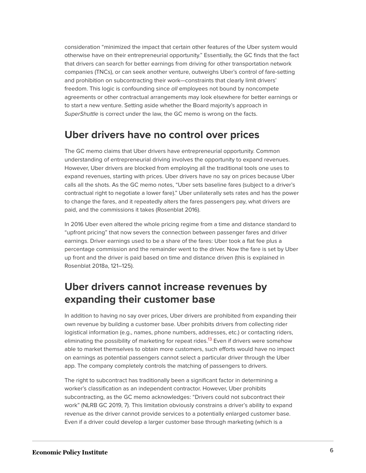consideration "minimized the impact that certain other features of the Uber system would otherwise have on their entrepreneurial opportunity." Essentially, the GC finds that the fact that drivers can search for better earnings from driving for other transportation network companies (TNCs), or can seek another venture, outweighs Uber's control of fare-setting and prohibition on subcontracting their work—constraints that clearly limit drivers' freedom. This logic is confounding since all employees not bound by noncompete agreements or other contractual arrangements may look elsewhere for better earnings or to start a new venture. Setting aside whether the Board majority's approach in SuperShuttle is correct under the law, the GC memo is wrong on the facts.

#### **Uber drivers have no control over prices**

The GC memo claims that Uber drivers have entrepreneurial opportunity. Common understanding of entrepreneurial driving involves the opportunity to expand revenues. However, Uber drivers are blocked from employing all the traditional tools one uses to expand revenues, starting with prices. Uber drivers have no say on prices because Uber calls all the shots. As the GC memo notes, "Uber sets baseline fares (subject to a driver's contractual right to negotiate a lower fare)." Uber unilaterally sets rates and has the power to change the fares, and it repeatedly alters the fares passengers pay, what drivers are paid, and the commissions it takes (Rosenblat 2016).

In 2016 Uber even altered the whole pricing regime from a time and distance standard to "upfront pricing" that now severs the connection between passenger fares and driver earnings. Driver earnings used to be a share of the fares: Uber took a flat fee plus a percentage commission and the remainder went to the driver. Now the fare is set by Uber up front and the driver is paid based on time and distance driven (this is explained in Rosenblat 2018a, 121–125).

### **Uber drivers cannot increase revenues by expanding their customer base**

<span id="page-6-0"></span>In addition to having no say over prices, Uber drivers are prohibited from expanding their own revenue by building a customer base. Uber prohibits drivers from collecting rider logistical information (e.g., names, phone numbers, addresses, etc.) or contacting riders, eliminating the possibility of marketing for repeat rides.<sup>[13](#page-16-2)</sup> Even if drivers were somehow able to market themselves to obtain more customers, such efforts would have no impact on earnings as potential passengers cannot select a particular driver through the Uber app. The company completely controls the matching of passengers to drivers.

The right to subcontract has traditionally been a significant factor in determining a worker's classification as an independent contractor. However, Uber prohibits subcontracting, as the GC memo acknowledges: "Drivers could not subcontract their work" (NLRB GC 2019, 7). This limitation obviously constrains a driver's ability to expand revenue as the driver cannot provide services to a potentially enlarged customer base. Even if a driver could develop a larger customer base through marketing (which is a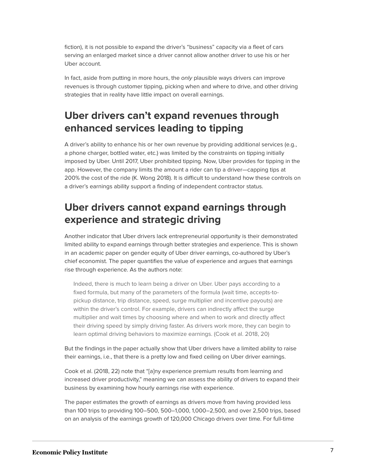fiction), it is not possible to expand the driver's "business" capacity via a fleet of cars serving an enlarged market since a driver cannot allow another driver to use his or her Uber account.

In fact, aside from putting in more hours, the only plausible ways drivers can improve revenues is through customer tipping, picking when and where to drive, and other driving strategies that in reality have little impact on overall earnings.

#### **Uber drivers can't expand revenues through enhanced services leading to tipping**

A driver's ability to enhance his or her own revenue by providing additional services (e.g., a phone charger, bottled water, etc.) was limited by the constraints on tipping initially imposed by Uber. Until 2017, Uber prohibited tipping. Now, Uber provides for tipping in the app. However, the company limits the amount a rider can tip a driver—capping tips at 200% the cost of the ride (K. Wong 2018). It is difficult to understand how these controls on a driver's earnings ability support a finding of independent contractor status.

#### **Uber drivers cannot expand earnings through experience and strategic driving**

Another indicator that Uber drivers lack entrepreneurial opportunity is their demonstrated limited ability to expand earnings through better strategies and experience. This is shown in an academic paper on gender equity of Uber driver earnings, co-authored by Uber's chief economist. The paper quantifies the value of experience and argues that earnings rise through experience. As the authors note:

Indeed, there is much to learn being a driver on Uber. Uber pays according to a fixed formula, but many of the parameters of the formula (wait time, accepts-topickup distance, trip distance, speed, surge multiplier and incentive payouts) are within the driver's control. For example, drivers can indirectly affect the surge multiplier and wait times by choosing where and when to work and directly affect their driving speed by simply driving faster. As drivers work more, they can begin to learn optimal driving behaviors to maximize earnings. (Cook et al. 2018, 20)

But the findings in the paper actually show that Uber drivers have a limited ability to raise their earnings, i.e., that there is a pretty low and fixed ceiling on Uber driver earnings.

Cook et al. (2018, 22) note that "[a]ny experience premium results from learning and increased driver productivity," meaning we can assess the ability of drivers to expand their business by examining how hourly earnings rise with experience.

The paper estimates the growth of earnings as drivers move from having provided less than 100 trips to providing 100–500, 500–1,000, 1,000–2,500, and over 2,500 trips, based on an analysis of the earnings growth of 120,000 Chicago drivers over time. For full-time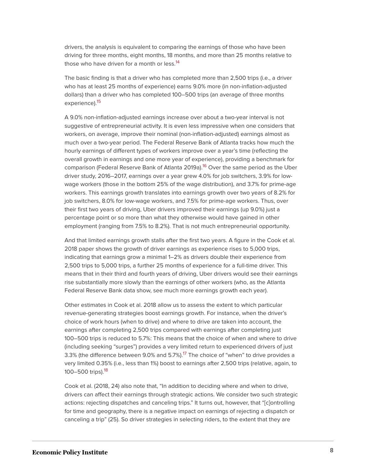<span id="page-8-0"></span>drivers, the analysis is equivalent to comparing the earnings of those who have been driving for three months, eight months, 18 months, and more than 25 months relative to those who have driven for a month or less.<sup>[14](#page-16-3)</sup>

The basic finding is that a driver who has completed more than 2,500 trips (i.e., a driver who has at least 25 months of experience) earns 9.0% more (in non-inflation-adjusted dollars) than a driver who has completed 100–500 trips (an average of three months experience).<sup>[15](#page-16-4)</sup>

<span id="page-8-2"></span><span id="page-8-1"></span>A 9.0% non-inflation-adjusted earnings increase over about a two-year interval is not suggestive of entrepreneurial activity. It is even less impressive when one considers that workers, on average, improve their nominal (non-inflation-adjusted) earnings almost as much over a two-year period. The Federal Reserve Bank of Atlanta tracks how much the hourly earnings of different types of workers improve over a year's time (reflecting the overall growth in earnings and one more year of experience), providing a benchmark for comparison (Federal Reserve Bank of Atlanta 2019a).<sup>[16](#page-16-5)</sup> Over the same period as the Uber driver study, 2016–2017, earnings over a year grew 4.0% for job switchers, 3.9% for lowwage workers (those in the bottom 25% of the wage distribution), and 3.7% for prime-age workers. This earnings growth translates into earnings growth over two years of 8.2% for job switchers, 8.0% for low-wage workers, and 7.5% for prime-age workers. Thus, over their first two years of driving, Uber drivers improved their earnings (up 9.0%) just a percentage point or so more than what they otherwise would have gained in other employment (ranging from 7.5% to 8.2%). That is not much entrepreneurial opportunity.

And that limited earnings growth stalls after the first two years. A figure in the Cook et al. 2018 paper shows the growth of driver earnings as experience rises to 5,000 trips, indicating that earnings grow a minimal 1–2% as drivers double their experience from 2,500 trips to 5,000 trips, a further 25 months of experience for a full-time driver. This means that in their third and fourth years of driving, Uber drivers would see their earnings rise substantially more slowly than the earnings of other workers (who, as the Atlanta Federal Reserve Bank data show, see much more earnings growth each year).

Other estimates in Cook et al. 2018 allow us to assess the extent to which particular revenue-generating strategies boost earnings growth. For instance, when the driver's choice of work hours (when to drive) and where to drive are taken into account, the earnings after completing 2,500 trips compared with earnings after completing just 100–500 trips is reduced to 5.7%: This means that the choice of when and where to drive (including seeking "surges") provides a very limited return to experienced drivers of just 3.3% (the difference between 9.0% and 5.7%).<sup>[17](#page-16-6)</sup> The choice of "when" to drive provides a very limited 0.35% (i.e., less than 1%) boost to earnings after 2,500 trips (relative, again, to 100–500 trips).<sup>[18](#page-16-7)</sup>

<span id="page-8-4"></span><span id="page-8-3"></span>Cook et al. (2018, 24) also note that, "In addition to deciding where and when to drive, drivers can affect their earnings through strategic actions. We consider two such strategic actions: rejecting dispatches and canceling trips." It turns out, however, that "[c]ontrolling for time and geography, there is a negative impact on earnings of rejecting a dispatch or canceling a trip" (25). So driver strategies in selecting riders, to the extent that they are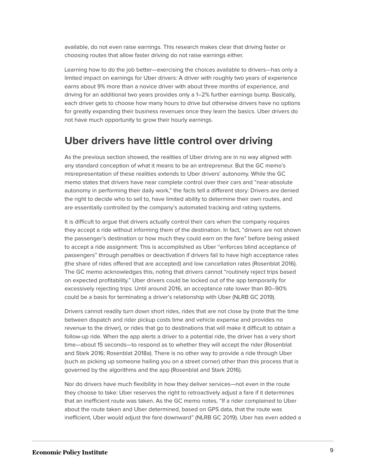available, do not even raise earnings. This research makes clear that driving faster or choosing routes that allow faster driving do not raise earnings either.

Learning how to do the job better—exercising the choices available to drivers—has only a limited impact on earnings for Uber drivers: A driver with roughly two years of experience earns about 9% more than a novice driver with about three months of experience, and driving for an additional two years provides only a 1–2% further earnings bump. Basically, each driver gets to choose how many hours to drive but otherwise drivers have no options for greatly expanding their business revenues once they learn the basics. Uber drivers do not have much opportunity to grow their hourly earnings.

#### **Uber drivers have little control over driving**

As the previous section showed, the realities of Uber driving are in no way aligned with any standard conception of what it means to be an entrepreneur. But the GC memo's misrepresentation of these realities extends to Uber drivers' autonomy. While the GC memo states that drivers have near complete control over their cars and "near-absolute autonomy in performing their daily work," the facts tell a different story: Drivers are denied the right to decide who to sell to, have limited ability to determine their own routes, and are essentially controlled by the company's automated tracking and rating systems.

It is difficult to argue that drivers actually control their cars when the company requires they accept a ride without informing them of the destination. In fact, "drivers are not shown the passenger's destination or how much they could earn on the fare" before being asked to accept a ride assignment: This is accomplished as Uber "enforces blind acceptance of passengers" through penalties or deactivation if drivers fail to have high acceptance rates (the share of rides offered that are accepted) and low cancellation rates (Rosenblat 2016). The GC memo acknowledges this, noting that drivers cannot "routinely reject trips based on expected profitability." Uber drivers could be locked out of the app temporarily for excessively rejecting trips. Until around 2016, an acceptance rate lower than 80–90% could be a basis for terminating a driver's relationship with Uber (NLRB GC 2019).

Drivers cannot readily turn down short rides, rides that are not close by (note that the time between dispatch and rider pickup costs time and vehicle expense and provides no revenue to the driver), or rides that go to destinations that will make it difficult to obtain a follow-up ride. When the app alerts a driver to a potential ride, the driver has a very short time—about 15 seconds—to respond as to whether they will accept the rider (Rosenblat and Stark 2016; Rosenblat 2018a). There is no other way to provide a ride through Uber (such as picking up someone hailing you on a street corner) other than this process that is governed by the algorithms and the app (Rosenblat and Stark 2016).

Nor do drivers have much flexibility in how they deliver services—not even in the route they choose to take: Uber reserves the right to retroactively adjust a fare if it determines that an inefficient route was taken. As the GC memo notes, "If a rider complained to Uber about the route taken and Uber determined, based on GPS data, that the route was inefficient, Uber would adjust the fare downward" (NLRB GC 2019). Uber has even added a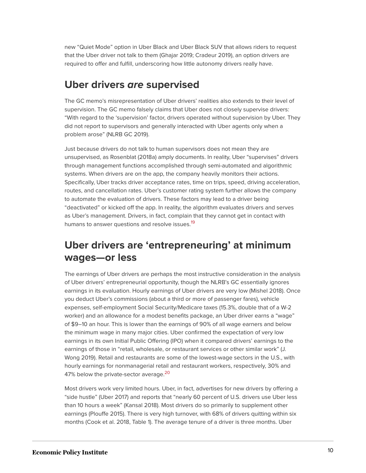new "Quiet Mode" option in Uber Black and Uber Black SUV that allows riders to request that the Uber driver not talk to them (Ghajar 2019; Cradeur 2019), an option drivers are required to offer and fulfill, underscoring how little autonomy drivers really have.

#### **Uber drivers** *are* **supervised**

The GC memo's misrepresentation of Uber drivers' realities also extends to their level of supervision. The GC memo falsely claims that Uber does not closely supervise drivers: "With regard to the 'supervision' factor, drivers operated without supervision by Uber. They did not report to supervisors and generally interacted with Uber agents only when a problem arose" (NLRB GC 2019).

Just because drivers do not talk to human supervisors does not mean they are unsupervised, as Rosenblat (2018a) amply documents. In reality, Uber "supervises" drivers through management functions accomplished through semi-automated and algorithmic systems. When drivers are on the app, the company heavily monitors their actions. Specifically, Uber tracks driver acceptance rates, time on trips, speed, driving acceleration, routes, and cancellation rates. Uber's customer rating system further allows the company to automate the evaluation of drivers. These factors may lead to a driver being "deactivated" or kicked off the app. In reality, the algorithm evaluates drivers and serves as Uber's management. Drivers, in fact, complain that they cannot get in contact with humans to answer questions and resolve issues.<sup>[19](#page-16-8)</sup>

### <span id="page-10-0"></span>**Uber drivers are 'entrepreneuring' at minimum wages—or less**

The earnings of Uber drivers are perhaps the most instructive consideration in the analysis of Uber drivers' entrepreneurial opportunity, though the NLRB's GC essentially ignores earnings in its evaluation. Hourly earnings of Uber drivers are very low (Mishel 2018). Once you deduct Uber's commissions (about a third or more of passenger fares), vehicle expenses, self-employment Social Security/Medicare taxes (15.3%, double that of a W-2 worker) and an allowance for a modest benefits package, an Uber driver earns a "wage" of \$9–10 an hour. This is lower than the earnings of 90% of all wage earners and below the minimum wage in many major cities. Uber confirmed the expectation of very low earnings in its own Initial Public Offering (IPO) when it compared drivers' earnings to the earnings of those in "retail, wholesale, or restaurant services or other similar work" (J. Wong 2019). Retail and restaurants are some of the lowest-wage sectors in the U.S., with hourly earnings for nonmanagerial retail and restaurant workers, respectively, 30% and 47% below the private-sector average.<sup>[20](#page-17-1)</sup>

<span id="page-10-1"></span>Most drivers work very limited hours. Uber, in fact, advertises for new drivers by offering a "side hustle" (Uber 2017) and reports that "nearly 60 percent of U.S. drivers use Uber less than 10 hours a week" (Kansal 2018). Most drivers do so primarily to supplement other earnings (Plouffe 2015). There is very high turnover, with 68% of drivers quitting within six months (Cook et al. 2018, Table 1). The average tenure of a driver is three months. Uber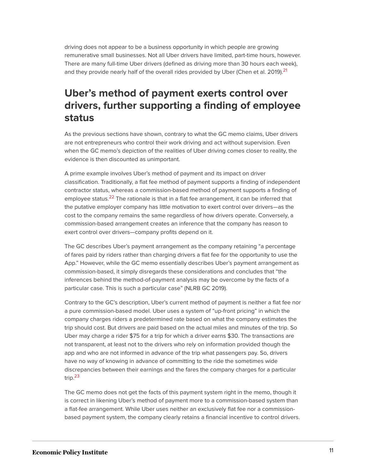driving does not appear to be a business opportunity in which people are growing remunerative small businesses. Not all Uber drivers have limited, part-time hours, however. There are many full-time Uber drivers (defined as driving more than 30 hours each week), and they provide nearly half of the overall rides provided by Uber (Chen et al. 2019).<sup>[21](#page-17-2)</sup>

### <span id="page-11-0"></span>**Uber's method of payment exerts control over drivers, further supporting a finding of employee status**

As the previous sections have shown, contrary to what the GC memo claims, Uber drivers are not entrepreneurs who control their work driving and act without supervision. Even when the GC memo's depiction of the realities of Uber driving comes closer to reality, the evidence is then discounted as unimportant.

<span id="page-11-1"></span>A prime example involves Uber's method of payment and its impact on driver classification. Traditionally, a flat fee method of payment supports a finding of independent contractor status, whereas a commission-based method of payment supports a finding of employee status.<sup>[22](#page-17-3)</sup> The rationale is that in a flat fee arrangement, it can be inferred that the putative employer company has little motivation to exert control over drivers—as the cost to the company remains the same regardless of how drivers operate. Conversely, a commission-based arrangement creates an inference that the company has reason to exert control over drivers—company profits depend on it.

The GC describes Uber's payment arrangement as the company retaining "a percentage of fares paid by riders rather than charging drivers a flat fee for the opportunity to use the App." However, while the GC memo essentially describes Uber's payment arrangement as commission-based, it simply disregards these considerations and concludes that "the inferences behind the method-of-payment analysis may be overcome by the facts of a particular case. This is such a particular case" (NLRB GC 2019).

Contrary to the GC's description, Uber's current method of payment is neither a flat fee nor a pure commission-based model. Uber uses a system of "up-front pricing" in which the company charges riders a predetermined rate based on what the company estimates the trip should cost. But drivers are paid based on the actual miles and minutes of the trip. So Uber may charge a rider \$75 for a trip for which a driver earns \$30. The transactions are not transparent, at least not to the drivers who rely on information provided though the app and who are not informed in advance of the trip what passengers pay. So, drivers have no way of knowing in advance of committing to the ride the sometimes wide discrepancies between their earnings and the fares the company charges for a particular trip. [23](#page-17-4)

<span id="page-11-2"></span>The GC memo does not get the facts of this payment system right in the memo, though it is correct in likening Uber's method of payment more to a commission-based system than a flat-fee arrangement. While Uber uses neither an exclusively flat fee nor a commissionbased payment system, the company clearly retains a financial incentive to control drivers.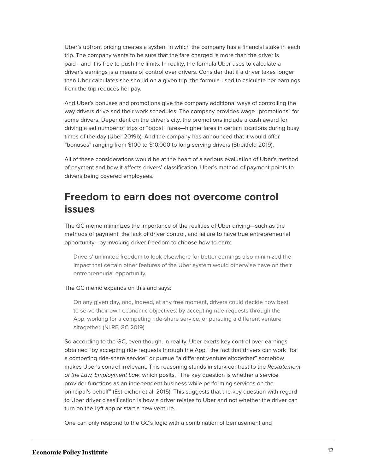Uber's upfront pricing creates a system in which the company has a financial stake in each trip. The company wants to be sure that the fare charged is more than the driver is paid—and it is free to push the limits. In reality, the formula Uber uses to calculate a driver's earnings is a means of control over drivers. Consider that if a driver takes longer than Uber calculates she should on a given trip, the formula used to calculate her earnings from the trip reduces her pay.

And Uber's bonuses and promotions give the company additional ways of controlling the way drivers drive and their work schedules. The company provides wage "promotions" for some drivers. Dependent on the driver's city, the promotions include a cash award for driving a set number of trips or "boost" fares—higher fares in certain locations during busy times of the day (Uber 2019b). And the company has announced that it would offer "bonuses" ranging from \$100 to \$10,000 to long-serving drivers (Streitfeld 2019).

All of these considerations would be at the heart of a serious evaluation of Uber's method of payment and how it affects drivers' classification. Uber's method of payment points to drivers being covered employees.

#### **Freedom to earn does not overcome control issues**

The GC memo minimizes the importance of the realities of Uber driving—such as the methods of payment, the lack of driver control, and failure to have true entrepreneurial opportunity—by invoking driver freedom to choose how to earn:

Drivers' unlimited freedom to look elsewhere for better earnings also minimized the impact that certain other features of the Uber system would otherwise have on their entrepreneurial opportunity.

#### The GC memo expands on this and says:

On any given day, and, indeed, at any free moment, drivers could decide how best to serve their own economic objectives: by accepting ride requests through the App, working for a competing ride-share service, or pursuing a different venture altogether. (NLRB GC 2019)

So according to the GC, even though, in reality, Uber exerts key control over earnings obtained "by accepting ride requests through the App," the fact that drivers can work "for a competing ride-share service" or pursue "a different venture altogether" somehow makes Uber's control irrelevant. This reasoning stands in stark contrast to the Restatement of the Law, Employment Law, which posits, "The key question is whether a service provider functions as an independent business while performing services on the principal's behalf" (Estreicher et al. 2015). This suggests that the key question with regard to Uber driver classification is how a driver relates to Uber and not whether the driver can turn on the Lyft app or start a new venture.

One can only respond to the GC's logic with a combination of bemusement and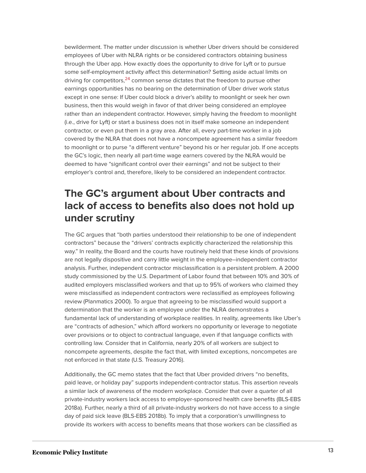<span id="page-13-0"></span>bewilderment. The matter under discussion is whether Uber drivers should be considered employees of Uber with NLRA rights or be considered contractors obtaining business through the Uber app. How exactly does the opportunity to drive for Lyft or to pursue some self-employment activity affect this determination? Setting aside actual limits on driving for competitors,<sup>[24](#page-17-5)</sup> common sense dictates that the freedom to pursue other earnings opportunities has no bearing on the determination of Uber driver work status except in one sense: If Uber could block a driver's ability to moonlight or seek her own business, then this would weigh in favor of that driver being considered an employee rather than an independent contractor. However, simply having the freedom to moonlight (i.e., drive for Lyft) or start a business does not in itself make someone an independent contractor, or even put them in a gray area. After all, every part-time worker in a job covered by the NLRA that does not have a noncompete agreement has a similar freedom to moonlight or to purse "a different venture" beyond his or her regular job. If one accepts the GC's logic, then nearly all part-time wage earners covered by the NLRA would be deemed to have "significant control over their earnings" and not be subject to their employer's control and, therefore, likely to be considered an independent contractor.

### **The GC's argument about Uber contracts and lack of access to benefits also does not hold up under scrutiny**

The GC argues that "both parties understood their relationship to be one of independent contractors" because the "drivers' contracts explicitly characterized the relationship this way." In reality, the Board and the courts have routinely held that these kinds of provisions are not legally dispositive and carry little weight in the employee–independent contractor analysis. Further, independent contractor misclassification is a persistent problem. A 2000 study commissioned by the U.S. Department of Labor found that between 10% and 30% of audited employers misclassified workers and that up to 95% of workers who claimed they were misclassified as independent contractors were reclassified as employees following review (Planmatics 2000). To argue that agreeing to be misclassified would support a determination that the worker is an employee under the NLRA demonstrates a fundamental lack of understanding of workplace realities. In reality, agreements like Uber's are "contracts of adhesion," which afford workers no opportunity or leverage to negotiate over provisions or to object to contractual language, even if that language conflicts with controlling law. Consider that in California, nearly 20% of all workers are subject to noncompete agreements, despite the fact that, with limited exceptions, noncompetes are not enforced in that state (U.S. Treasury 2016).

Additionally, the GC memo states that the fact that Uber provided drivers "no benefits, paid leave, or holiday pay" supports independent-contractor status. This assertion reveals a similar lack of awareness of the modern workplace. Consider that over a quarter of all private-industry workers lack access to employer-sponsored health care benefits (BLS-EBS 2018a). Further, nearly a third of all private-industry workers do not have access to a single day of paid sick leave (BLS-EBS 2018b). To imply that a corporation's unwillingness to provide its workers with access to benefits means that those workers can be classified as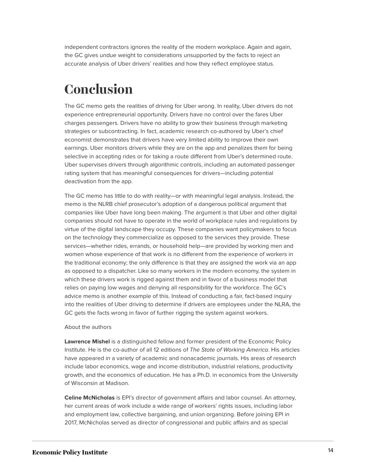independent contractors ignores the reality of the modern workplace. Again and again, the GC gives undue weight to considerations unsupported by the facts to reject an accurate analysis of Uber drivers' realities and how they reflect employee status.

### <span id="page-14-0"></span>**Conclusion**

The GC memo gets the realities of driving for Uber wrong. In reality, Uber drivers do not experience entrepreneurial opportunity. Drivers have no control over the fares Uber charges passengers. Drivers have no ability to grow their business through marketing strategies or subcontracting. In fact, academic research co-authored by Uber's chief economist demonstrates that drivers have very limited ability to improve their own earnings. Uber monitors drivers while they are on the app and penalizes them for being selective in accepting rides or for taking a route different from Uber's determined route. Uber supervises drivers through algorithmic controls, including an automated passenger rating system that has meaningful consequences for drivers—including potential deactivation from the app.

The GC memo has little to do with reality—or with meaningful legal analysis. Instead, the memo is the NLRB chief prosecutor's adoption of a dangerous political argument that companies like Uber have long been making. The argument is that Uber and other digital companies should not have to operate in the world of workplace rules and regulations by virtue of the digital landscape they occupy. These companies want policymakers to focus on the technology they commercialize as opposed to the services they provide. These services—whether rides, errands, or household help—are provided by working men and women whose experience of that work is no different from the experience of workers in the traditional economy; the only difference is that they are assigned the work via an app as opposed to a dispatcher. Like so many workers in the modern economy, the system in which these drivers work is rigged against them and in favor of a business model that relies on paying low wages and denying all responsibility for the workforce. The GC's advice memo is another example of this. Instead of conducting a fair, fact-based inquiry into the realities of Uber driving to determine if drivers are employees under the NLRA, the GC gets the facts wrong in favor of further rigging the system against workers.

#### About the authors

**Lawrence Mishel** is a distinguished fellow and former president of the Economic Policy Institute. He is the co-author of all 12 editions of The State of Working America. His articles have appeared in a variety of academic and nonacademic journals. His areas of research include labor economics, wage and income distribution, industrial relations, productivity growth, and the economics of education. He has a Ph.D. in economics from the University of Wisconsin at Madison.

**Celine McNicholas** is EPI's director of government affairs and labor counsel. An attorney, her current areas of work include a wide range of workers' rights issues, including labor and employment law, collective bargaining, and union organizing. Before joining EPI in 2017, McNicholas served as director of congressional and public affairs and as special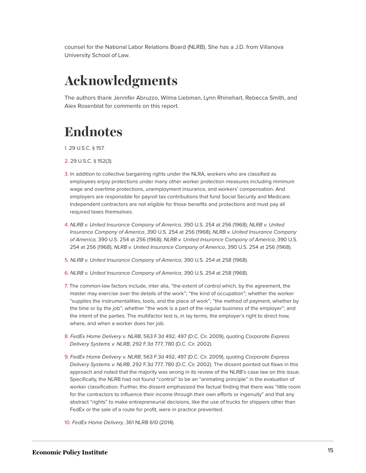counsel for the National Labor Relations Board (NLRB). She has a J.D. from Villanova University School of Law.

# <span id="page-15-0"></span>**Acknowledgments**

The authors thank Jennifer Abruzzo, Wilma Liebman, Lynn Rhinehart, Rebecca Smith, and Alex Rosenblat for comments on this report.

## <span id="page-15-1"></span>**Endnotes**

- <span id="page-15-2"></span>[1.](#page-3-2) 29 U.S.C. § 157.
- <span id="page-15-3"></span>[2.](#page-3-3) 29 U.S.C. § 152(3).
- <span id="page-15-4"></span>[3.](#page-3-4) In addition to collective bargaining rights under the NLRA, workers who are classified as employees enjoy protections under many other worker protection measures including minimum wage and overtime protections, unemployment insurance, and workers' compensation. And employers are responsible for payroll tax contributions that fund Social Security and Medicare. Independent contractors are not eligible for those benefits and protections and must pay all required taxes themselves.
- <span id="page-15-5"></span>[4.](#page-3-5) NLRB v. United Insurance Company of America, 390 U.S. 254 at 256 (1968); NLRB v. United Insurance Company of America, 390 U.S. 254 at 256 (1968); NLRB v. United Insurance Company of America, 390 U.S. 254 at 256 (1968); NLRB v. United Insurance Company of America, 390 U.S. 254 at 256 (1968); NLRB v. United Insurance Company of America, 390 U.S. 254 at 256 (1968).
- <span id="page-15-6"></span>[5.](#page-3-6) NLRB v. United Insurance Company of America, 390 U.S. 254 at 258 (1968).
- <span id="page-15-7"></span>[6.](#page-3-7) NLRB v. United Insurance Company of America, 390 U.S. 254 at 258 (1968).
- <span id="page-15-8"></span>[7.](#page-3-8) The common-law factors include, inter alia, "the extent of control which, by the agreement, the master may exercise over the details of the work"; "the kind of occupation"; whether the worker "supplies the instrumentalities, tools, and the place of work"; "the method of payment, whether by the time or by the job"; whether "the work is a part of the regular business of the employer"; and the intent of the parties. The multifactor test is, in lay terms, the employer's right to direct how, where, and when a worker does her job.
- <span id="page-15-9"></span>[8.](#page-4-1) FedEx Home Delivery v. NLRB, 563 F.3d 492, 497 (D.C. Cir. 2009), quoting Corporate Express Delivery Systems v. NLRB, 292 F.3d 777, 780 (D.C. Cir. 2002).
- <span id="page-15-10"></span>[9.](#page-4-2) FedEx Home Delivery v. NLRB, 563 F.3d 492, 497 (D.C. Cir. 2009), quoting Corporate Express Delivery Systems v. NLRB, 292 F.3d 777, 780 (D.C. Cir. 2002). The dissent pointed out flaws in this approach and noted that the majority was wrong in its review of the NLRB's case law on this issue. Specifically, the NLRB had not found "control" to be an "animating principle" in the evaluation of worker classification. Further, the dissent emphasized the factual finding that there was "little room for the contractors to influence their income through their own efforts or ingenuity" and that any abstract "rights" to make entrepreneurial decisions, like the use of trucks for shippers other than FedEx or the sale of a route for profit, were in practice prevented.
- <span id="page-15-11"></span>[10.](#page-4-3) FedEx Home Delivery, 361 NLRB 610 (2014).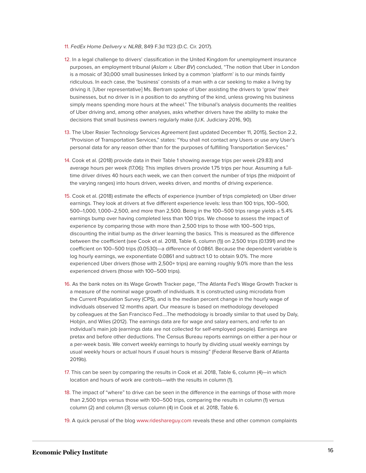- <span id="page-16-0"></span>[11.](#page-4-4) FedEx Home Delivery v. NLRB, 849 F.3d 1123 (D.C. Cir. 2017).
- <span id="page-16-1"></span>[12.](#page-5-1) In a legal challenge to drivers' classification in the United Kingdom for unemployment insurance purposes, an employment tribunal (Aslam v. Uber BV) concluded, "The notion that Uber in London is a mosaic of 30,000 small businesses linked by a common 'platform' is to our minds faintly ridiculous. In each case, the 'business' consists of a man with a car seeking to make a living by driving it. [Uber representative] Ms. Bertram spoke of Uber assisting the drivers to 'grow' their businesses, but no driver is in a position to do anything of the kind, unless growing his business simply means spending more hours at the wheel." The tribunal's analysis documents the realities of Uber driving and, among other analyses, asks whether drivers have the ability to make the decisions that small business owners regularly make (U.K. Judiciary 2016, 90).
- <span id="page-16-2"></span>[13.](#page-6-0) The Uber Rasier Technology Services Agreement (last updated December 11, 2015), Section 2.2, "Provision of Transportation Services," states: "You shall not contact any Users or use any User's personal data for any reason other than for the purposes of fulfilling Transportation Services."
- <span id="page-16-3"></span>[14.](#page-8-0) Cook et al. (2018) provide data in their Table 1 showing average trips per week (29.83) and average hours per week (17.06): This implies drivers provide 1.75 trips per hour. Assuming a fulltime driver drives 40 hours each week, we can then convert the number of trips (the midpoint of the varying ranges) into hours driven, weeks driven, and months of driving experience.
- <span id="page-16-4"></span>[15.](#page-8-1) Cook et al. (2018) estimate the effects of experience (number of trips completed) on Uber driver earnings. They look at drivers at five different experience levels: less than 100 trips, 100–500, 500–1,000, 1,000–2,500, and more than 2,500. Being in the 100–500 trips range yields a 5.4% earnings bump over having completed less than 100 trips. We choose to assess the impact of experience by comparing those with more than 2,500 trips to those with 100–500 trips, discounting the initial bump as the driver learning the basics. This is measured as the difference between the coefficient (see Cook et al. 2018, Table 6, column (1)) on 2,500 trips (0.1391) and the coefficient on 100–500 trips (0.0530)—a difference of 0.0861. Because the dependent variable is log hourly earnings, we exponentiate 0.0861 and subtract 1.0 to obtain 9.0%. The more experienced Uber drivers (those with 2,500+ trips) are earning roughly 9.0% more than the less experienced drivers (those with 100–500 trips).
- <span id="page-16-5"></span>[16.](#page-8-2) As the bank notes on its Wage Growth Tracker page, "The Atlanta Fed's Wage Growth Tracker is a measure of the nominal wage growth of individuals. It is constructed using microdata from the Current Population Survey (CPS), and is the median percent change in the hourly wage of individuals observed 12 months apart. Our measure is based on methodology developed by colleagues at the San Francisco Fed….The methodology is broadly similar to that used by Daly, Hobjin, and Wiles (2012). The earnings data are for wage and salary earners, and refer to an individual's main job (earnings data are not collected for self-employed people). Earnings are pretax and before other deductions. The Census Bureau reports earnings on either a per-hour or a per-week basis. We convert weekly earnings to hourly by dividing usual weekly earnings by usual weekly hours or actual hours if usual hours is missing" (Federal Reserve Bank of Atlanta 2019b).
- <span id="page-16-6"></span>[17.](#page-8-3) This can be seen by comparing the results in Cook et al. 2018, Table 6, column (4)—in which location and hours of work are controls—with the results in column (1).
- <span id="page-16-7"></span>[18.](#page-8-4) The impact of "where" to drive can be seen in the difference in the earnings of those with more than 2,500 trips versus those with 100–500 trips, comparing the results in column (1) versus column (2) and column (3) versus column (4) in Cook et al. 2018, Table 6.
- <span id="page-16-8"></span>[19.](#page-10-0) A quick perusal of the blog [www.rideshareguy.com](http://www.rideshareguy.com/) reveals these and other common complaints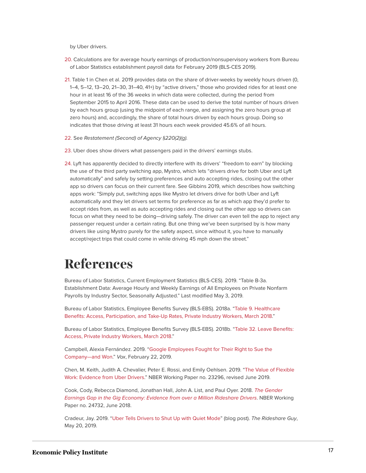by Uber drivers.

- <span id="page-17-1"></span>[20.](#page-10-1) Calculations are for average hourly earnings of production/nonsupervisory workers from Bureau of Labor Statistics establishment payroll data for February 2019 (BLS-CES 2019).
- <span id="page-17-2"></span>[21.](#page-11-0) Table 1 in Chen et al. 2019 provides data on the share of driver-weeks by weekly hours driven (0, 1–4, 5–12, 13–20, 21–30, 31–40, 41+) by "active drivers," those who provided rides for at least one hour in at least 16 of the 36 weeks in which data were collected, during the period from September 2015 to April 2016. These data can be used to derive the total number of hours driven by each hours group (using the midpoint of each range, and assigning the zero hours group at zero hours) and, accordingly, the share of total hours driven by each hours group. Doing so indicates that those driving at least 31 hours each week provided 45.6% of all hours.
- <span id="page-17-3"></span>[22.](#page-11-1) See Restatement (Second) of Agency §220(2)(g).
- <span id="page-17-4"></span>[23.](#page-11-2) Uber does show drivers what passengers paid in the drivers' earnings stubs.
- <span id="page-17-5"></span>[24.](#page-13-0) Lyft has apparently decided to directly interfere with its drivers' "freedom to earn" by blocking the use of the third party switching app, Mystro, which lets "drivers drive for both Uber and Lyft automatically" and safely by setting preferences and auto accepting rides, closing out the other app so drivers can focus on their current fare. See Gibbins 2019, which describes how switching apps work: "Simply put, switching apps like Mystro let drivers drive for both Uber and Lyft automatically and they let drivers set terms for preference as far as which app they'd prefer to accept rides from, as well as auto accepting rides and closing out the other app so drivers can focus on what they need to be doing—driving safely. The driver can even tell the app to reject any passenger request under a certain rating. But one thing we've been surprised by is how many drivers like using Mystro purely for the safety aspect, since without it, you have to manually accept/reject trips that could come in while driving 45 mph down the street."

### <span id="page-17-0"></span>**References**

Bureau of Labor Statistics, Current Employment Statistics (BLS-CES). 2019. "Table B-3a. Establishment Data: Average Hourly and Weekly Earnings of All Employees on Private Nonfarm Payrolls by Industry Sector, Seasonally Adjusted." Last modified May 3, 2019.

Bureau of Labor Statistics, Employee Benefits Survey (BLS-EBS). 2018a. "[Table 9. Healthcare](https://www.bls.gov/ncs/ebs/benefits/2018/ownership/private/table09a.pdf) [Benefits: Access, Participation, and Take-Up Rates, Private Industry Workers, March 2018](https://www.bls.gov/ncs/ebs/benefits/2018/ownership/private/table09a.pdf)."

Bureau of Labor Statistics, Employee Benefits Survey (BLS-EBS). 2018b. ["Table 32. Leave Benefits:](https://www.bls.gov/ncs/ebs/benefits/2018/ownership/private/table32a.htm) [Access, Private Industry Workers, March 2018.](https://www.bls.gov/ncs/ebs/benefits/2018/ownership/private/table32a.htm)"

Campbell, Alexia Fernández. 2019. "[Google Employees Fought for Their Right to Sue the](https://www.vox.com/technology/2019/2/22/18236172/mandatory-forced-arbitration-google-employees) [Company—and Won](https://www.vox.com/technology/2019/2/22/18236172/mandatory-forced-arbitration-google-employees)." Vox, February 22, 2019.

Chen, M. Keith, Judith A. Chevalier, Peter E. Rossi, and Emily Oehlsen. 2019. "[The Value of Flexible](https://www.nber.org/papers/w23296) [Work: Evidence from Uber Drivers](https://www.nber.org/papers/w23296)." NBER Working Paper no. 23296, revised June 2019.

Cook, Cody, Rebecca Diamond, Jonathan Hall, John A. List, and Paul Oyer. 2018. [The Gender](https://www.nber.org/papers/w24732.pdf) [Earnings Gap in the Gig Economy: Evidence from over a Million Rideshare Drivers](https://www.nber.org/papers/w24732.pdf). NBER Working Paper no. 24732, June 2018.

Cradeur, Jay. 2019. "[Uber Tells Drivers to Shut Up with Quiet Mode"](https://therideshareguy.com/uber-tells-drivers-to-shut-up-with-quiet-mode/) (blog post). The Rideshare Guy, May 20, 2019.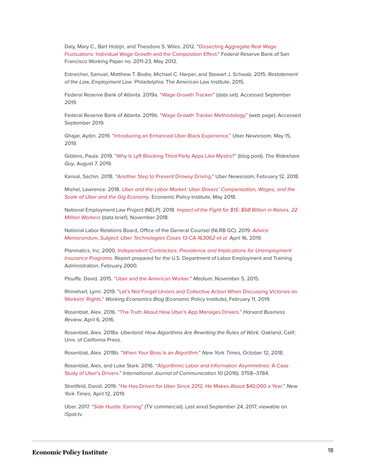Daly, Mary C., Bart Hobijn, and Theodore S. Wiles. 2012. "[Dissecting Aggregate Real Wage](http://www.frbsf.org/publications/economics/papers/2011/wp11-23bk.pdf) [Fluctuations: Individual Wage Growth and the Composition Effect.](http://www.frbsf.org/publications/economics/papers/2011/wp11-23bk.pdf)" Federal Reserve Bank of San Francisco Working Paper no. 2011-23, May 2012.

Estreicher, Samuel, Matthew T. Bodie, Michael C. Harper, and Stewart J. Schwab. 2015. Restatement of the Law, Employment Law. Philadelphia: The American Law Institute, 2015.

Federal Reserve Bank of Atlanta. 2019a. "[Wage Growth Tracker](https://www.frbatlanta.org/chcs/wage-growth-tracker.aspx?panel=4)" (data set). Accessed September 2019.

Federal Reserve Bank of Atlanta. 2019b. ["Wage Growth Tracker Methodology"](https://www.frbatlanta.org/chcs/wage-growth-tracker.aspx?panel=2) (web page). Accessed September 2019.

Ghajar, Aydin. 2019. ["Introducing an Enhanced Uber Black Experience.](https://www.uber.com/newsroom/introducing-an-enhanced-uber-black-experience/)" Uber Newsroom, May 15, 2019.

Gibbins, Paula. 2019. ["Why Is Lyft Blocking Third Party Apps Like Mystro?](https://therideshareguy.com/lyft-blocks-mystro/)" (blog post). The Rideshare Guy, August 7, 2019.

Kansal, Sachin. 2018. ["Another Step to Prevent Drowsy Driving](https://www.uber.com/newsroom/drowsydriving/)." Uber Newsroom, February 12, 2018.

Mishel, Lawrence. 2018. [Uber and the Labor Market: Uber Drivers' Compensation, Wages, and the](https://www.epi.org/publication/uber-and-the-labor-market-uber-drivers-compensation-wages-and-the-scale-of-uber-and-the-gig-economy/) [Scale of Uber and the Gig Economy](https://www.epi.org/publication/uber-and-the-labor-market-uber-drivers-compensation-wages-and-the-scale-of-uber-and-the-gig-economy/). Economic Policy Institute, May 2018.

National Employment Law Project (NELP). 2018. [Impact of the Fight for \\$15: \\$68 Billion in Raises, 22](https://s27147.pcdn.co/wp-content/uploads/Data-Brief-Impact-Fight-for-15-2018.pdf) [Million Workers](https://s27147.pcdn.co/wp-content/uploads/Data-Brief-Impact-Fight-for-15-2018.pdf) (data brief). November 2018.

National Labor Relations Board, Office of the General Counsel (NLRB GC). 2019. [Advice](http://src.bna.com/Ibt) [Memorandum, Subject: Uber Technologies Cases 13-CA-163062 et al.](http://src.bna.com/Ibt) April 16, 2019.

Planmatics, Inc. 2000. [Independent Contractors: Prevalence and Implications for Unemployment](https://wdr.doleta.gov/owsdrr/00-5/00-5.pdf) [Insurance Programs](https://wdr.doleta.gov/owsdrr/00-5/00-5.pdf). Report prepared for the U.S. Department of Labor Employment and Training Administration, February 2000.

Plouffe, David. 2015. ["Uber and the American Worker](https://medium.com/@davidplouffe/uber-and-the-american-worker-bdd499ec5323)." Medium, November 5, 2015.

Rhinehart, Lynn. 2019. "[Let's Not Forget Unions and Collective Action When Discussing Victories on](https://www.epi.org/blog/lets-not-forget-unions-and-collective-action-when-discussing-victories-on-workers-rights/) [Workers' Rights](https://www.epi.org/blog/lets-not-forget-unions-and-collective-action-when-discussing-victories-on-workers-rights/)." Working Economics Blog (Economic Policy Institute), February 11, 2019.

Rosenblat, Alex. 2016. ["The Truth About How Uber's App Manages Drivers.](https://hbr.org/2016/04/the-truth-about-how-ubers-app-manages-drivers)" Harvard Business Review, April 6, 2016.

Rosenblat, Alex. 2018a. Uberland: How Algorithms Are Rewriting the Rules of Work. Oakland, Calif.: Univ. of California Press.

Rosenblat, Alex. 2018b. "[When Your Boss Is an Algorithm](https://www.nytimes.com/2018/10/12/opinion/sunday/uber-driver-life.html)." New York Times, October 12, 2018.

Rosenblat, Alex, and Luke Stark. 2016. ["Algorithmic Labor and Information Asymmetries: A Case](https://ijoc.org/index.php/ijoc/article/view/4892/1739) [Study of Uber's Drivers](https://ijoc.org/index.php/ijoc/article/view/4892/1739)." International Journal of Communication 10 (2016): 3758–3784.

Streitfeld, David. 2019. "[He Has Driven for Uber Since 2012. He Makes About \\$40,000 a Year](https://www.nytimes.com/2019/04/12/technology/uber-driver-ipo.html)." New York Times, April 12, 2019.

Uber. 2017. "[Side Hustle: Earning](https://www.ispot.tv/ad/wOYe/uber-side-hustle-earning-song-by-saint-motel)" (TV commercial). Last aired September 24, 2017, viewable on iSpot.tv.